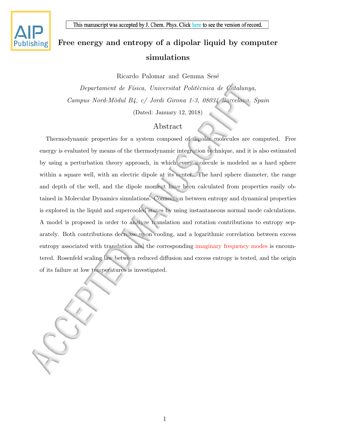

# Free energy and entropy of a dipolar liquid by computer simulations

Ricardo Palomar and Gemma Sesé

Departament de Física, Universitat Politècnica de Catalunya, Campus Nord-M`odul B4, c/ Jordi Girona 1-3, 08034 Barcelona, Spain

(Dated: January 12, 2018)

# Abstract

Thermodynamic properties for a system composed of dipolar molecules are computed. Free energy is evaluated by means of the thermodynamic integration technique, and it is also estimated by using a perturbation theory approach, in which every molecule is modeled as a hard sphere within a square well, with an electric dipole at its center. The hard sphere diameter, the range and depth of the well, and the dipole moment have been calculated from properties easily obtained in Molecular Dynamics simulations. Connection between entropy and dynamical properties is explored in the liquid and supercooled states by using instantaneous normal mode calculations. A model is proposed in order to analyze translation and rotation contributions to entropy separately. Both contributions decrease upon cooling, and a logarithmic correlation between excess entropy associated with translation and the corresponding imaginary frequency modes is encountered. Rosenfeld scaling law between reduced diffusion and excess entropy is tested, and the origin of its failure at low temperatures is investigated.

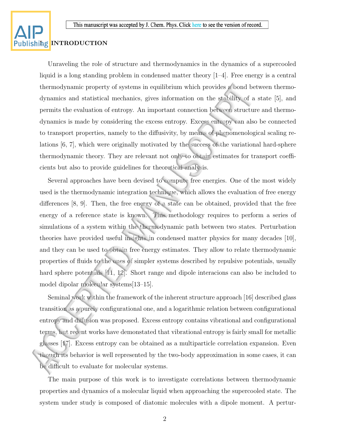# Publishing INTRODUCTION

Unraveling the role of structure and thermodynamics in the dynamics of a supercooled liquid is a long standing problem in condensed matter theory [1–4]. Free energy is a central thermodynamic property of systems in equilibrium which provides a bond between thermodynamics and statistical mechanics, gives information on the stability of a state [5], and permits the evaluation of entropy. An important connection between structure and thermodynamics is made by considering the excess entropy. Excess entropy can also be connected to transport properties, namely to the diffusivity, by means of phenomenological scaling relations [6, 7], which were originally motivated by the success of the variational hard-sphere thermodynamic theory. They are relevant not only to obtain estimates for transport coefficients but also to provide guidelines for theoretical analysis.

Several approaches have been devised to compute free energies. One of the most widely used is the thermodynamic integration technique, which allows the evaluation of free energy differences [8, 9]. Then, the free energy of a state can be obtained, provided that the free energy of a reference state is known. This methodology requires to perform a series of simulations of a system within the thermodynamic path between two states. Perturbation theories have provided useful insights in condensed matter physics for many decades [10], and they can be used to obtain free energy estimates. They allow to relate thermodynamic properties of fluids to the ones of simpler systems described by repulsive potentials, usually hard sphere potentials [11, 12]. Short range and dipole interacions can also be included to model dipolar molecular systems[13–15].

Seminal work within the framework of the inherent structure approach [16] described glass transition as a purely configurational one, and a logarithmic relation between configurational entropy and diffusion was proposed. Excess entropy contains vibrational and configurational terms, but recent works have demonstated that vibrational entropy is fairly small for metallic glasses [17]. Excess entropy can be obtained as a multiparticle correlation expansion. Even though its behavior is well represented by the two-body approximation in some cases, it can be difficult to evaluate for molecular systems.

The main purpose of this work is to investigate correlations between thermodynamic properties and dynamics of a molecular liquid when approaching the supercooled state. The system under study is composed of diatomic molecules with a dipole moment. A pertur-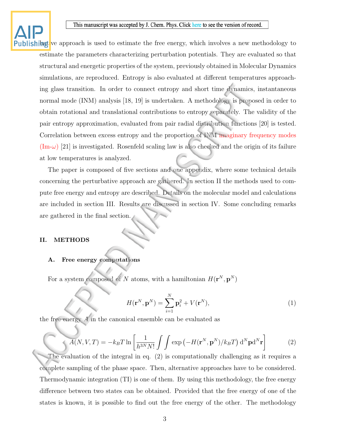

**Publiships i**ve approach is used to estimate the free energy, which involves a new methodology to estimate the parameters characterizing perturbation potentials. They are evaluated so that structural and energetic properties of the system, previously obtained in Molecular Dynamics simulations, are reproduced. Entropy is also evaluated at different temperatures approaching glass transition. In order to connect entropy and short time dynamics, instantaneous normal mode (INM) analysis [18, 19] is undertaken. A methodology is proposed in order to obtain rotational and translational contributions to entropy separately. The validity of the pair entropy approximation, evaluated from pair radial distribution functions [20] is tested. Correlation between excess entropy and the proportion of INM imaginary frequency modes  $(Im-\omega)$  [21] is investigated. Rosenfeld scaling law is also checked and the origin of its failure at low temperatures is analyzed.

The paper is composed of five sections and one appendix, where some technical details concerning the perturbative approach are gathered. In section II the methods used to compute free energy and entropy are described. Details on the molecular model and calculations are included in section III. Results are discussed in section IV. Some concluding remarks are gathered in the final section.

#### II. METHODS

## A. Free energy computations

For a system composed of N atoms, with a hamiltonian  $H(\mathbf{r}^N, \mathbf{p}^N)$ 

$$
H(\mathbf{r}^N, \mathbf{p}^N) = \sum_{i=1}^N \mathbf{p}_i^2 + V(\mathbf{r}^N),
$$
 (1)

the free energy A in the canonical ensemble can be evaluated as

$$
A(N, V, T) = -k_B T \ln \left[ \frac{1}{h^{3N} N!} \int \int \exp \left( -H(\mathbf{r}^N, \mathbf{p}^N) / k_B T \right) d^N \mathbf{p} d^N \mathbf{r} \right]
$$
(2)

The evaluation of the integral in eq. (2) is computationally challenging as it requires a complete sampling of the phase space. Then, alternative approaches have to be considered. Thermodynamic integration (TI) is one of them. By using this methodology, the free energy difference between two states can be obtained. Provided that the free energy of one of the states is known, it is possible to find out the free energy of the other. The methodology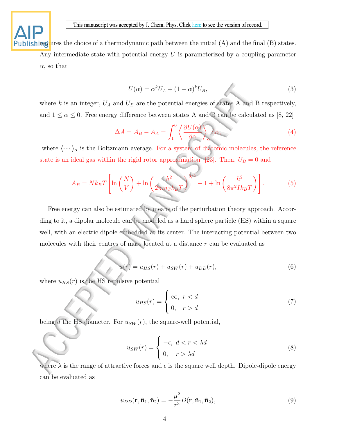**blishing** the choice of a thermodynamic path between the initial  $(A)$  and the final  $(B)$  states.

Any intermediate state with potential energy  $U$  is parameterized by a coupling parameter  $\alpha$ , so that

$$
U(\alpha) = \alpha^k U_A + (1 - \alpha)^k U_B,
$$
\n(3)

where k is an integer,  $U_A$  and  $U_B$  are the potential energies of states A and B respectively, and  $1 \le \alpha \le 0$ . Free energy difference between states A and B can be calculated as [8, 22]

$$
\Delta A = A_B - A_A = \int_1^0 \left\langle \frac{\partial U(\alpha)}{\partial \alpha} \right\rangle_d \, d\alpha,\tag{4}
$$

where  $\langle \cdots \rangle_{\alpha}$  is the Boltzmann average. For a system of diatomic molecules, the reference state is an ideal gas within the rigid rotor approximation [23]. Then,  $U_B = 0$  and

$$
A_B = Nk_B T \left[ \ln \left( \frac{N}{V} \right) + \ln \left( \frac{h^2}{2\pi m_T k_B T} \right)^{3/2} - 1 + \ln \left( \frac{h^2}{8\pi^2 I k_B T} \right) \right].
$$
 (5)

Free energy can also be estimated by means of the perturbation theory approach. According to it, a dipolar molecule can be modeled as a hard sphere particle (HS) within a square well, with an electric dipole embedded at its center. The interacting potential between two molecules with their centres of mass located at a distance  $r$  can be evaluated as

$$
u(r) = u_{HS}(r) + u_{SW}(r) + u_{DD}(r),
$$
\n(6)

where  $u_{HS}(r)$  is the HS repulsive potential

$$
u_{HS}(r) = \begin{cases} \infty, & r < d \\ 0, & r > d \end{cases}
$$
 (7)

being d the HS diameter. For  $u_{SW}(r)$ , the square-well potential,

$$
u_{SW}(r) = \begin{cases} -\epsilon, & d < r < \lambda d \\ 0, & r > \lambda d \end{cases}
$$
 (8)

where  $\lambda$  is the range of attractive forces and  $\epsilon$  is the square well depth. Dipole-dipole energy can be evaluated as

$$
u_{DD}(\mathbf{r}, \hat{\mathbf{n}}_1, \hat{\mathbf{n}}_2) = -\frac{\mu^2}{r^3} D(\mathbf{r}, \hat{\mathbf{n}}_1, \hat{\mathbf{n}}_2),
$$
\n(9)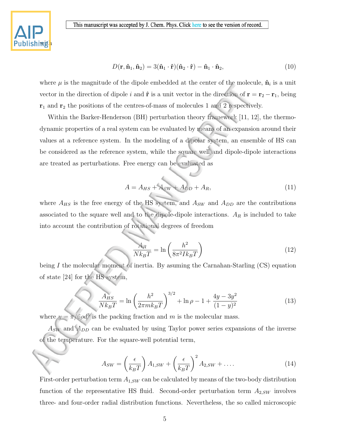

$$
D(\mathbf{r}, \hat{\mathbf{n}}_1, \hat{\mathbf{n}}_2) = 3(\hat{\mathbf{n}}_1 \cdot \hat{\mathbf{r}})(\hat{\mathbf{n}}_2 \cdot \hat{\mathbf{r}}) - \hat{\mathbf{n}}_1 \cdot \hat{\mathbf{n}}_2, \tag{10}
$$

where  $\mu$  is the magnitude of the dipole embedded at the center of the molecule,  $\hat{\mathbf{n}}_i$  is a unit vector in the direction of dipole i and  $\hat{\mathbf{r}}$  is a unit vector in the direction of  $\mathbf{r} = \mathbf{r}_2 - \mathbf{r}_1$ , being  $\mathbf{r}_1$  and  $\mathbf{r}_2$  the positions of the centres-of-mass of molecules 1 and 2 respectively.

Within the Barker-Henderson (BH) perturbation theory framework [11, 12], the thermodynamic properties of a real system can be evaluated by means of an expansion around their values at a reference system. In the modeling of a dipolar system, an ensemble of HS can be considered as the reference system, while the square well and dipole-dipole interactions are treated as perturbations. Free energy can be evaluated as

$$
A = A_{HS} + A_{SW} + A_{DD} + A_R, \tag{11}
$$

where  $A_{HS}$  is the free energy of the HS system, and  $A_{SW}$  and  $A_{DD}$  are the contributions associated to the square well and to the dipole-dipole interactions.  $A_R$  is included to take into account the contribution of rotational degrees of freedom

$$
\frac{A_R}{Nk_BT} = \ln\left(\frac{h^2}{8\pi^2Ik_BT}\right) \tag{12}
$$

being  $I$  the molecular moment of inertia. By asuming the Carnahan-Starling  $(CS)$  equation of state [24] for the HS system,

$$
\frac{A_{HS}}{Nk_BT} = \ln\left(\frac{h^2}{2\pi mk_BT}\right)^{3/2} + \ln\rho - 1 + \frac{4y - 3y^2}{(1 - y)^2}
$$
(13)

where  $y = \pi/6\rho d^3$  is the packing fraction and m is the molecular mass.

 $A_{SW}$  and  $A_{DD}$  can be evaluated by using Taylor power series expansions of the inverse of the temperature. For the square-well potential term,

$$
A_{SW} = \left(\frac{\epsilon}{k_B T}\right) A_{1,SW} + \left(\frac{\epsilon}{k_B T}\right)^2 A_{2,SW} + \dots
$$
 (14)

First-order perturbation term  $A_{1,SW}$  can be calculated by means of the two-body distribution function of the representative HS fluid. Second-order perturbation term  $A_{2,SW}$  involves three- and four-order radial distribution functions. Nevertheless, the so called microscopic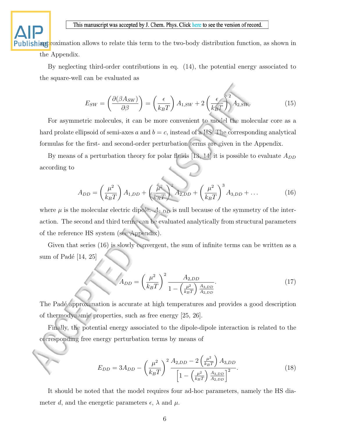Publishing roximation allows to relate this term to the two-body distribution function, as shown in the Appendix.

By neglecting third-order contributions in eq. (14), the potential energy associated to the square-well can be evaluated as

$$
E_{SW} = \left(\frac{\partial(\beta A_{SW})}{\partial \beta}\right) = \left(\frac{\epsilon}{k_B T}\right) A_{1,SW} + 2\left(\frac{\epsilon}{k_B T}\right)^2 A_{2,SW}.\tag{15}
$$

For asymmetric molecules, it can be more convenient to model the molecular core as a hard prolate ellipsoid of semi-axes a and  $b = c$ , instead of a HS. The corresponding analytical formulas for the first- and second-order perturbation terms are given in the Appendix.

By means of a perturbation theory for polar fluids [13, 14] it is possible to evaluate  $A_{DD}$ according to

$$
A_{DD} = \left(\frac{\mu^2}{k_B T}\right) A_{1,DD} + \left(\frac{\mu^2}{k_B T}\right)^2 A_{2,DD} + \left(\frac{\mu^2}{k_B T}\right)^3 A_{3,DD} + \dots
$$
 (16)

where  $\mu$  is the molecular electric dipole.  $A_{1,DD}$  is null because of the symmetry of the interaction. The second and third terms can be evaluated analytically from structural parameters of the reference HS system (see Appendix).

Given that series (16) is slowly convergent, the sum of infinite terms can be written as a sum of Padé  $[14, 25]$ 

$$
A_{DD} = \left(\frac{\mu^2}{k_B T}\right)^2 \frac{A_{2,DD}}{1 - \left(\frac{\mu^2}{k_B T}\right) \frac{A_{3,DD}}{A_{2,DD}}}.
$$
\n(17)

The Padé approximation is accurate at high temperatures and provides a good description of thermodynamic properties, such as free energy [25, 26].

Finally, the potential energy associated to the dipole-dipole interaction is related to the corresponding free energy perturbation terms by means of

$$
E_{DD} = 3A_{DD} - \left(\frac{\mu^2}{k_B T}\right)^2 \frac{A_{2,DD} - 2\left(\frac{\mu^2}{k_B T}\right) A_{3,DD}}{\left[1 - \left(\frac{\mu^2}{k_B T}\right) \frac{A_{3,DD}}{A_{2,DD}}\right]^2}.
$$
(18)

It should be noted that the model requires four ad-hoc parameters, namely the HS diameter d, and the energetic parameters  $\epsilon$ ,  $\lambda$  and  $\mu$ .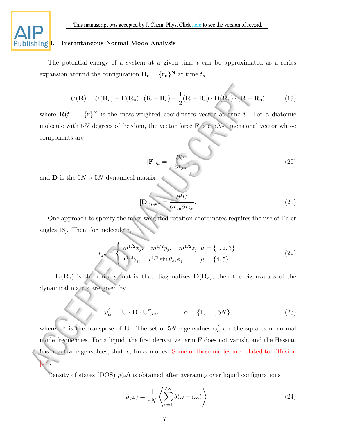### blishing<sup>3</sup>. Instantaneous Normal Mode Analysis

The potential energy of a system at a given time  $t$  can be approximated as a series expansion around the configuration  $\mathbf{R}_{o} = {\{\mathbf{r}_{o}\}}^{\mathbf{N}}$  at time  $t_o$ 

$$
U(\mathbf{R}) = U(\mathbf{R}_o) - \mathbf{F}(\mathbf{R}_o) \cdot (\mathbf{R} - \mathbf{R}_o) + \frac{1}{2} (\mathbf{R} - \mathbf{R}_o) \cdot \mathbf{D}(\mathbf{R}_o) \cdot (\mathbf{R} - \mathbf{R}_o)
$$
(19)

where  $\mathbf{R}(t) = {\{\mathbf{r}\}}^{N}$  is the mass-weighted coordinates vector at time t. For a diatomic molecule with  $5N$  degrees of freedom, the vector force  $\mathbf{F}$  is a  $5N$ -dimensional vector whose components are

$$
[\mathbf{F}]_{j\mu} = -\frac{\partial U}{\partial r_{j\mu}},\tag{20}
$$

D

and **D** is the  $5N \times 5N$  dynamical matrix

$$
[\mathbf{D}]_{j\mu,k\nu} = \frac{\partial^2 U}{\partial r_{j\mu} \partial r_{k\nu}}.
$$
\n(21)

One approach to specify the mass-weighted rotation coordinates requires the use of Euler angles<sup>[18]</sup>. Then, for molecule  $j$ 

$$
r_{j\mu} = \begin{cases} m^{1/2}x_j, & m^{1/2}y_j, & m^{1/2}z_j \mu = \{1, 2, 3\} \\ I^{1/2}\theta_j, & I^{1/2}\sin\theta_{oj}\phi_j & \mu = \{4, 5\} \end{cases}
$$
(22)

If  $U(R_o)$  is the unitary matrix that diagonalizes  $D(R_o)$ , then the eigenvalues of the dynamical matrix are given by

$$
\omega_{\alpha}^{2} = [\mathbf{U} \cdot \mathbf{D} \cdot \mathbf{U}^{t}]_{\alpha\alpha} \qquad \alpha = \{1, ..., 5N\},
$$
\n(23)

where  $U^t$  is the transpose of U. The set of 5N eigenvalues  $\omega_\alpha^2$  are the squares of normal mode frequencies. For a liquid, the first derivative term  $\bf{F}$  does not vanish, and the Hessian has negative eigenvalues, that is, Im- $\omega$  modes. Some of these modes are related to diffusion [27].

Density of states (DOS)  $\rho(\omega)$  is obtained after averaging over liquid configurations

$$
\rho(\omega) = \frac{1}{5N} \left\langle \sum_{\alpha=1}^{5N} \delta(\omega - \omega_{\alpha}) \right\rangle.
$$
\n(24)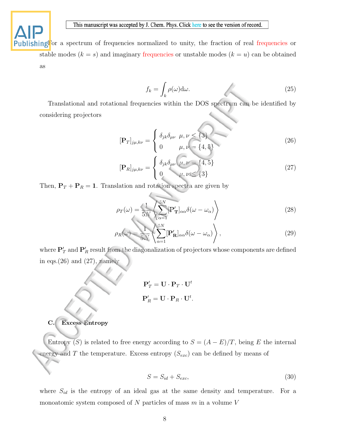

**Publishing** or a spectrum of frequencies normalized to unity, the fraction of real frequencies or stable modes  $(k = s)$  and imaginary frequencies or unstable modes  $(k = u)$  can be obtained as

$$
f_k = \int_k \rho(\omega) d\omega.
$$
 (25)

Translational and rotational frequencies within the DOS spectrum can be identified by considering projectors

$$
[\mathbf{P}_{T}]_{j\mu,k\nu} = \begin{cases} \delta_{jk}\delta_{\mu\nu} & \mu, \nu \leq \{3\} \\ 0 & \mu, \nu = \{4,5\} \end{cases}
$$
 (26)

$$
[\mathbf{P}_R]_{j\mu,k\nu} = \begin{cases} \delta_{jk}\delta_{\mu\nu} \mu, \nu = \{4, 5\} \\ 0 \mu, \nu \leq \{3\} \end{cases}
$$
(27)

Then,  $P_T + P_R = 1$ . Translation and rotation spectra are given by

$$
\rho_T(\omega) = \frac{1}{5N} \left\langle \sum_{\alpha=1}^{5N} [\mathbf{P'_T}]_{\alpha\alpha} \delta(\omega - \omega_\alpha) \right\rangle
$$
\n(28)

$$
\rho_R(\omega) = \frac{1}{5N} \left\langle \sum_{\alpha=1}^{5N} [\mathbf{P'_R}]_{\alpha\alpha} \delta(\omega - \omega_\alpha) \right\rangle, \tag{29}
$$

where  $\mathbf{P}_T^\prime$  and  $\mathbf{P}_R^\prime$  result from the diagonalization of projectors whose components are defined in eqs. $(26)$  and  $(27)$ , namely

$$
\mathbf{P}_T' = \mathbf{U} \cdot \mathbf{P}_T \cdot \mathbf{U}^t
$$

$$
\mathbf{P}_R' = \mathbf{U} \cdot \mathbf{P}_R \cdot \mathbf{U}^t.
$$

## C. Excess Entropy

Entropy  $(S)$  is related to free energy according to  $S = (A - E)/T$ , being E the internal energy and T the temperature. Excess entropy  $(S_{exc})$  can be defined by means of

$$
S = S_{id} + S_{exc},\tag{30}
$$

where  $S_{id}$  is the entropy of an ideal gas at the same density and temperature. For a monoatomic system composed of N particles of mass  $m$  in a volume V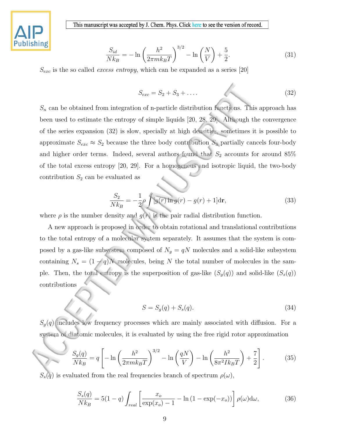

$$
\frac{S_{id}}{Nk_B} = -\ln\left(\frac{h^2}{2\pi mk_B T}\right)^{3/2} - \ln\left(\frac{N}{V}\right) + \frac{5}{2}.
$$
 (31)

 $S_{exc}$  is the so called *excess entropy*, which can be expanded as a series [20]

$$
S_{exc} = S_2 + S_3 + \dots \tag{32}
$$

 $S_n$  can be obtained from integration of n-particle distribution functions. This approach has been used to estimate the entropy of simple liquids [20, 28, 29]. Although the convergence of the series expansion (32) is slow, specially at high densities, sometimes it is possible to approximate  $S_{exc} \approx S_2$  because the three body contribution  $S_3$  partially cancels four-body and higher order terms. Indeed, several authors found that  $S_2$  accounts for around 85% of the total excess entropy [20, 29]. For a homogeneus and isotropic liquid, the two-body contribution  $S_2$  can be evaluated as

$$
\frac{S_2}{Nk_B} = -\frac{1}{2}\rho \int [g(r)\ln g(r) - g(r) + 1] \mathrm{d}\mathbf{r},\tag{33}
$$

where  $\rho$  is the number density and  $g(r)$  is the pair radial distribution function.

A new approach is proposed in order to obtain rotational and translational contributions to the total entropy of a molecular system separately. It assumes that the system is composed by a gas-like subsystem composed of  $N_g = qN$  molecules and a solid-like subsystem containing  $N_s = (1 - q)N$  molecules, being N the total number of molecules in the sample. Then, the total entropy is the superposition of gas-like  $(S_q(q))$  and solid-like  $(S_s(q))$ contributions

$$
S = S_g(q) + S_s(q). \tag{34}
$$

 $S_q(q)$  includes low frequency processes which are mainly associated with diffusion. For a system of diatomic molecules, it is evaluated by using the free rigid rotor approximation

$$
\frac{S_g(q)}{Nk_B} = q \left[ -\ln\left(\frac{h^2}{2\pi mk_B T}\right)^{3/2} - \ln\left(\frac{qN}{V}\right) - \ln\left(\frac{h^2}{8\pi^2 I k_B T}\right) + \frac{7}{2} \right].
$$
 (35)

 $S_s(\bar{q})$  is evaluated from the real frequencies branch of spectrum  $\rho(\omega)$ ,

$$
\frac{S_s(q)}{Nk_B} = 5(1-q)\int_{real} \left[\frac{x_o}{\exp(x_o) - 1} - \ln(1 - \exp(-x_o))\right] \rho(\omega) d\omega, \tag{36}
$$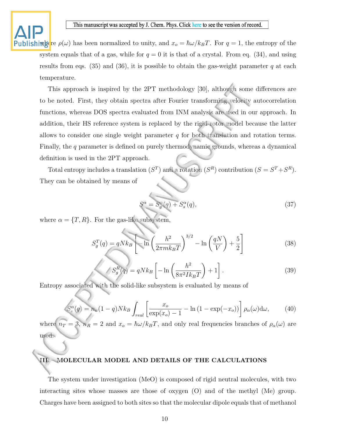**Publishing** e<sub>nd</sub>  $\rho(\omega)$  has been normalized to unity, and  $x_o = \hbar \omega / k_B T$ . For  $q = 1$ , the entropy of the system equals that of a gas, while for  $q = 0$  it is that of a crystal. From eq. (34), and using results from eqs. (35) and (36), it is possible to obtain the gas-weight parameter q at each temperature.

This approach is inspired by the 2PT methodology [30], although some differences are to be noted. First, they obtain spectra after Fourier transforming velocity autocorrelation functions, whereas DOS spectra evaluated from INM analysis are used in our approach. In addition, their HS reference system is replaced by the rigid rotor model because the latter allows to consider one single weight parameter  $q$  for both translation and rotation terms. Finally, the q parameter is defined on purely thermodynamic grounds, whereas a dynamical definition is used in the 2PT approach.

Total entropy includes a translation  $(S^T)$  and a rotation  $(S^R)$  contribution  $(S = S^T + S^R)$ . They can be obtained by means of

$$
S^{\alpha} = S^{\alpha}_{g}(q) + S^{\alpha}_{s}(q), \qquad (37)
$$

where  $\alpha = \{T, R\}$ . For the gas-like subsystem,

$$
S_g^T(q) = qNk_B \left[ -\ln\left(\frac{h^2}{2\pi mk_B T}\right)^{3/2} - \ln\left(\frac{qN}{V}\right) + \frac{5}{2} \right]
$$
(38)

$$
S_g^R(q) = qNk_B \left[ -\ln\left(\frac{h^2}{8\pi^2 I k_B T}\right) + 1 \right].
$$
 (39)

Entropy associated with the solid-like subsystem is evaluated by means of

$$
S_s^{\alpha}(q) = n_{\alpha}(1-q)Nk_B \int_{real} \left[ \frac{x_o}{\exp(x_o) - 1} - \ln(1 - \exp(-x_o)) \right] \rho_{\alpha}(\omega) d\omega, \tag{40}
$$

where  $n_T = 3$ ,  $n_R = 2$  and  $x_o = \hbar \omega / k_B T$ , and only real frequencies branches of  $\rho_\alpha(\omega)$  are used.

## III. MOLECULAR MODEL AND DETAILS OF THE CALCULATIONS

The system under investigation (MeO) is composed of rigid neutral molecules, with two interacting sites whose masses are those of oxygen (O) and of the methyl (Me) group. Charges have been assigned to both sites so that the molecular dipole equals that of methanol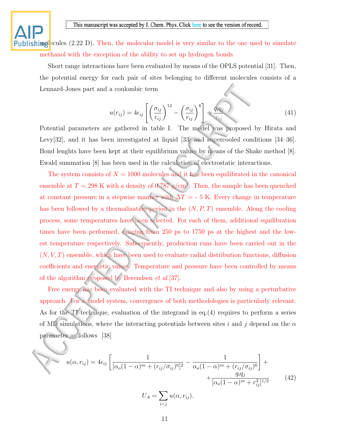**Publishims** ecules  $(2.22 \text{ D})$ . Then, the molecular model is very similar to the one used to simulate methanol with the exception of the ability to set up hydrogen bonds.

Short range interactions have been evaluated by means of the OPLS potential [31]. Then, the potential energy for each pair of sites belonging to different molecules consists of a Lennard-Jones part and a coulombic term

$$
u(r_{ij}) = 4\epsilon_{ij} \left[ \left( \frac{\sigma_{ij}}{r_{ij}} \right)^{12} - \left( \frac{\sigma_{ij}}{r_{ij}} \right)^6 \right] + \frac{q_i q_j}{r_{ij}} \tag{41}
$$

Potential parameters are gathered in table I. The model was proposed by Hirata and Levy[32], and it has been investigated at liquid [33] and supercooled conditions [34–36]. Bond lenghts have been kept at their equilibrium values by means of the Shake method [8]. Ewald summation [8] has been used in the calculation of electrostatic interactions.

The system consists of  $N = 1000$  molecules and it has been equilibrated in the canonical ensemble at  $T = 298$  K with a density of 0.787 g/cm<sup>3</sup>. Then, the sample has been quenched at constant pressure in a stepwise manner with  $\Delta T = -5$  K. Every change in temperature has been followed by a thermalization period in the  $(N, P, T)$  ensemble. Along the cooling process, some temperatures have been selected. For each of them, additional equilibration times have been performed, ranging from 250 ps to 1750 ps at the highest and the lowest temperature respectively. Subsequently, production runs have been carried out in the  $(N, V, T)$  ensemble, which have been used to evaluate radial distribution functions, diffusion coefficients and energetic values. Temperature and pressure have been controlled by means of the algorithm proposed by Berendsen  $et$   $al.$  [37].

Free energy has been evaluated with the TI technique and also by using a perturbative approach. For a model system, convergence of both methodologies is particularly relevant. As for the TI technique, evaluation of the integrand in eq.(4) requires to perform a series of MD simulations, where the interacting potentials between sites i and j depend on the  $\alpha$ parameter as follows [38]

$$
u(\alpha, r_{ij}) = 4\epsilon_{ij} \left[ \frac{1}{[\alpha_o(1-\alpha)^m + (r_{ij}/\sigma_{ij})^6]^2} - \frac{1}{\alpha_o(1-\alpha)^m + (r_{ij}/\sigma_{ij})^6} \right] + \frac{q_i q_j}{[\alpha_o(1-\alpha)^m + r_{ij}^2]^{1/2}}
$$
(42)  

$$
U_A = \sum_{i < j} u(\alpha, r_{ij}).
$$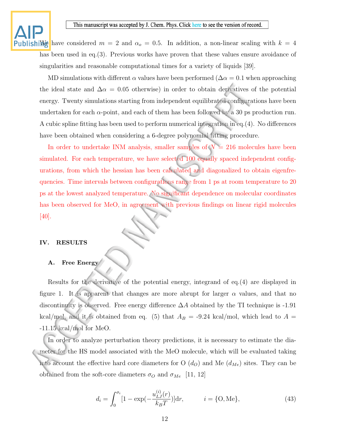

**Publishing** have considered  $m = 2$  and  $\alpha_o = 0.5$ . In addition, a non-linear scaling with  $k = 4$ has been used in eq.(3). Previous works have proven that these values ensure avoidance of singularities and reasonable computational times for a variety of liquids [39].

MD simulations with different  $\alpha$  values have been performed ( $\Delta \alpha = 0.1$  when approaching the ideal state and  $\Delta \alpha = 0.05$  otherwise) in order to obtain derivatives of the potential energy. Twenty simulations starting from independent equilibrated configurations have been undertaken for each  $\alpha$ -point, and each of them has been followed by a 30 ps production run. A cubic spline fitting has been used to perform numerical integration in eq.(4). No differences have been obtained when considering a 6-degree polynomial fitting procedure.

In order to undertake INM analysis, smaller samples of  $N = 216$  molecules have been simulated. For each temperature, we have selected 100 equally spaced independent configurations, from which the hessian has been calculated and diagonalized to obtain eigenfrequencies. Time intervals between configurations range from 1 ps at room temperature to 20 ps at the lowest analyzed temperature. No significant dependence on molecular coordinates has been observed for MeO, in agreement with previous findings on linear rigid molecules [40].

#### IV. RESULTS

## A. Free Energy

Results for the derivative of the potential energy, integrand of eq.(4) are displayed in figure 1. It is apparent that changes are more abrupt for larger  $\alpha$  values, and that no discontinuity is observed. Free energy difference  $\Delta A$  obtained by the TI technique is -1.91 kcal/mol, and it is obtained from eq. (5) that  $A_B = -9.24$  kcal/mol, which lead to  $A =$ -11.15 kcal/mol for MeO.

In order to analyze perturbation theory predictions, it is necessary to estimate the diameter for the HS model associated with the MeO molecule, which will be evaluated taking into account the effective hard core diameters for O  $(d<sub>O</sub>)$  and Me  $(d<sub>Me</sub>)$  sites. They can be obtained from the soft-core diameters  $\sigma_O$  and  $\sigma_{Me}$  [11, 12]

$$
d_i = \int_0^{\sigma_i} [1 - \exp(-\frac{u_{LJ}^{(i)}(r)}{k_B T})] dr, \qquad i = \{O, Me\},
$$
 (43)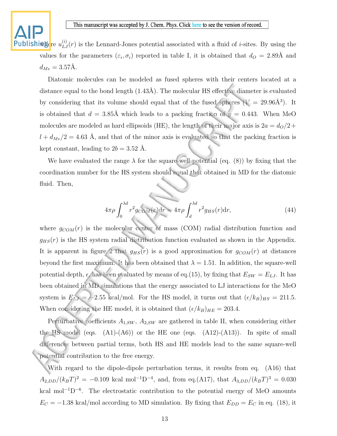$\mathbb{W}$ g<sup>(re u<sup>(i)</sup>)(r) is the Lennard-Jones potential associated with a fluid of *i*-sites. By using the</sup> values for the parameters  $(\varepsilon_i, \sigma_i)$  reported in table I, it is obtained that  $d_O = 2.89\text{\AA}$  and  $d_{Me} = 3.57 \text{\AA}.$ 

Diatomic molecules can be modeled as fused spheres with their centers located at a distance equal to the bond length  $(1.43\text{\AA})$ . The molecular HS effective diameter is evaluated by considering that its volume should equal that of the fused spheres  $(V = 29.96\text{\AA}^3)$ . It is obtained that  $d = 3.85\text{\AA}$  which leads to a packing fraction of  $y = 0.443$ . When MeO molecules are modeled as hard ellipsoids (HE), the length of their major axis is  $2a = d<sub>O</sub>/2 +$  $l + d_{Me}/2 = 4.63$  Å, and that of the minor axis is evaluated so that the packing fraction is kept constant, leading to  $2b = 3.52$  Å.

We have evaluated the range  $\lambda$  for the square-well potential (eq. (8)) by fixing that the coordination number for the HS system should equal that obtained in MD for the diatomic fluid. Then,

$$
4\pi\rho \int_0^{\lambda d} r^2 g_{COM}(r) dr = 4\pi\rho \int_d^{\lambda d} r^2 g_{HS}(r) dr,\tag{44}
$$

where  $g_{COM}(r)$  is the molecular center of mass (COM) radial distribution function and  $g_{HS}(r)$  is the HS system radial distribution function evaluated as shown in the Appendix. It is apparent in figure 2 that  $g_{HS}(r)$  is a good approximation for  $g_{COM}(r)$  at distances beyond the first maximum. It has been obtained that  $\lambda = 1.51$ . In addition, the square-well potential depth,  $\epsilon$ , has been evaluated by means of eq.(15), by fixing that  $E_{SW} = E_{LJ}$ . It has been obtained in MD simulations that the energy associated to LJ interactions for the MeO system is  $E_{LJ} = -2.55$  kcal/mol. For the HS model, it turns out that  $(\epsilon/k_B)_{HS} = 211.5$ . When considering the HE model, it is obtained that  $(\epsilon/k_B)_{HE} = 203.4$ .

Perturbative coefficients  $A_{1,SW}$ ,  $A_{2,SW}$  are gathered in table II, when considering either the HS model (eqs.  $(A1)-(A6)$ ) or the HE one (eqs.  $(A12)-(A13)$ ). In spite of small differences between partial terms, both HS and HE models lead to the same square-well potential contribution to the free energy.

With regard to the dipole-dipole perturbation terms, it results from eq. (A16) that  $A_{2,DD}/(k_BT)^2 = -0.109$  kcal mol<sup>-1</sup>D<sup>-4</sup>, and, from eq.(A17), that  $A_{3,DD}/(k_BT)^3 = 0.030$ kcal mol<sup>−</sup><sup>1</sup>D<sup>−</sup><sup>6</sup> . The electrostatic contribution to the potential energy of MeO amounts  $E_C = -1.38$  kcal/mol according to MD simulation. By fixing that  $E_{DD} = E_C$  in eq. (18), it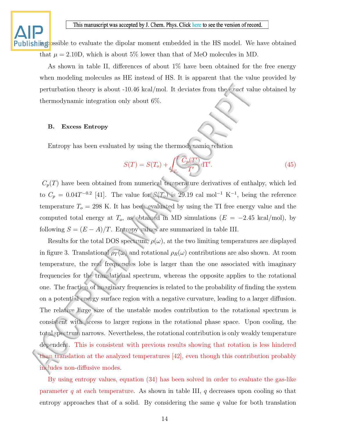Publishis possible to evaluate the dipolar moment embedded in the HS model. We have obtained that  $\mu = 2.10D$ , which is about 5% lower than that of MeO molecules in MD.

As shown in table II, differences of about 1% have been obtained for the free energy when modeling molecules as HE instead of HS. It is apparent that the value provided by perturbation theory is about -10.46 kcal/mol. It deviates from the exact value obtained by thermodynamic integration only about 6%.

#### B. Excess Entropy

Entropy has been evaluated by using the thermodynamic relation

$$
S(T) = S(T_o) + \int_{T_o}^{T} \frac{C_p(T')}{T'} dT'. \tag{45}
$$

 $C_p(T)$  have been obtained from numerical temperature derivatives of enthalpy, which led to  $C_p = 0.04T^{-0.2}$  [41]. The value for  $S(T_o)$  is 29.19 cal mol<sup>-1</sup> K<sup>-1</sup>, being the reference temperature  $T<sub>o</sub> = 298$  K. It has been evaluated by using the TI free energy value and the computed total energy at  $T_o$ , as obtained in MD simulations ( $E = -2.45$  kcal/mol), by following  $S = (E - A)/T$ . Entropy values are summarized in table III.

Results for the total DOS spectrum,  $\rho(\omega)$ , at the two limiting temperatures are displayed in figure 3. Translational  $\rho_T(\omega)$  and rotational  $\rho_R(\omega)$  contributions are also shown. At room temperature, the real frequencies lobe is larger than the one associated with imaginary frequencies for the translational spectrum, whereas the opposite applies to the rotational one. The fraction of imaginary frequencies is related to the probability of finding the system on a potential energy surface region with a negative curvature, leading to a larger diffusion. The relative large size of the unstable modes contribution to the rotational spectrum is consistent with access to larger regions in the rotational phase space. Upon cooling, the total spectrum narrows. Nevertheless, the rotational contribution is only weakly temperature dependent. This is consistent with previous results showing that rotation is less hindered than translation at the analyzed temperatures [42], even though this contribution probably includes non-diffusive modes.

By using entropy values, equation (34) has been solved in order to evaluate the gas-like parameter q at each temperature. As shown in table III, q decreases upon cooling so that entropy approaches that of a solid. By considering the same  $q$  value for both translation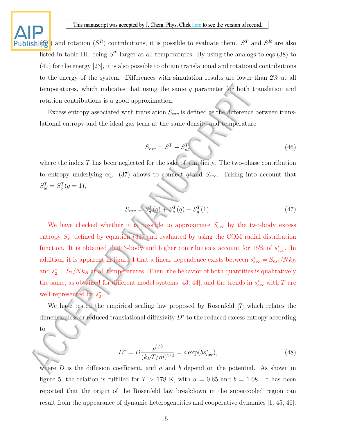$(\mathfrak{g}^T)$  and rotation  $(S^R)$  contributions, it is possible to evaluate them.  $S^T$  and  $S^R$  are also listed in table III, being  $S<sup>T</sup>$  larger at all temperatures. By using the analogs to eqs.(38) to (40) for the energy [23], it is also possible to obtain translational and rotational contributions to the energy of the system. Differences with simulation results are lower than 2% at all temperatures, which indicates that using the same  $q$  parameter for both translation and rotation contributions is a good approximation.

Excess entropy associated with translation  $S_{exc}$  is defined as the difference between translational entropy and the ideal gas term at the same density and temperature

$$
S_{exc} = S^T - S_{id}^T
$$
 (46)

where the index  $T$  has been neglected for the sake of simplicity. The two-phase contribution to entropy underlying eq. (37) allows to connect  $q$  and  $S_{exc}$ . Taking into account that  $S_{id}^T = S_g^T (q = 1),$ 

$$
S_{exc} = S_g^T(q) + S_s^T(q) - S_g^T(1).
$$
\n(47)

We have checked whether it is possible to approximate  $S_{exc}$  by the two-body excess entropy  $S_2$ , defined by equation (33) and evaluated by using the COM radial distribution function. It is obtained that 3-body and higher contributions account for 15% of  $s_{exc}^*$ . In addition, it is apparent in figure 4 that a linear dependence exists between  $s_{exc}^* = S_{exc}/Nk_B$ and  $s_2^* = S_2/Nk_B$  at all temperatures. Then, the behavior of both quantities is qualitatively the same, as obtained for different model systems [43, 44], and the trends in  $s_{exc}^*$  with T are well represented by  $s_2^*$ .

We have tested the empirical scaling law proposed by Rosenfeld [7] which relates the dimensionless or reduced translational diffusivity  $D^*$  to the reduced excess entropy according

to

$$
D^* = D \frac{\rho^{1/3}}{(k_B T/m)^{1/2}} = a \exp(b s_{exc}^*),
$$
\n(48)

where  $D$  is the diffusion coefficient, and a and b depend on the potential. As shown in figure 5, the relation is fulfilled for  $T > 178$  K, with  $a = 0.65$  and  $b = 1.08$ . It has been reported that the origin of the Rosenfeld law breakdown in the supercooled region can result from the appearance of dynamic heterogeneities and cooperative dynamics [1, 45, 46].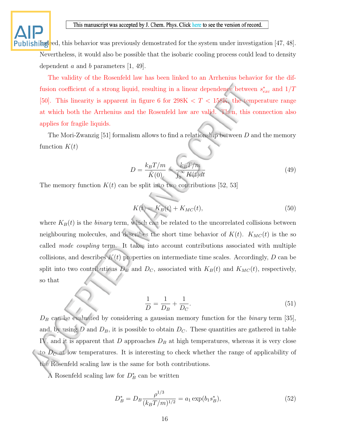

**Publishing** ed, this behavior was previously demostrated for the system under investigation [47, 48]. Nevertheless, it would also be possible that the isobaric cooling process could lead to density dependent a and b parameters [1, 49].

The validity of the Rosenfeld law has been linked to an Arrhenius behavior for the diffusion coefficient of a strong liquid, resulting in a linear dependence between  $s_{exc}^*$  and  $1/T$ [50]. This linearity is apparent in figure 6 for  $298K < T < 158K$ , the temperature range at which both the Arrhenius and the Rosenfeld law are valid. Then, this connection also applies for fragile liquids.

The Mori-Zwanzig [51] formalism allows to find a relationship between  $D$  and the memory function  $K(t)$ 

$$
D = \frac{k_B T/m}{\tilde{K}(0)} = \frac{k_B T/m}{\int_0^\infty K(t)dt}
$$
(49)

The memory function  $K(t)$  can be split into two contributions [52, 53]

$$
K(t) = K_B(t) + K_{MC}(t),
$$
\n(50)

where  $K_B(t)$  is the *binary* term, which can be related to the uncorrelated collisions between neighbouring molecules, and describes the short time behavior of  $K(t)$ .  $K_{MC}(t)$  is the so called mode coupling term. It takes into account contributions associated with multiple collisions, and describes  $K(t)$  properties on intermediate time scales. Accordingly, D can be split into two contributions  $D_B$  and  $D_C$ , associated with  $K_B(t)$  and  $K_{MC}(t)$ , respectively, so that

$$
\frac{1}{D} = \frac{1}{D_B} + \frac{1}{D_C}.\tag{51}
$$

 $D_B$  can be evaluated by considering a gaussian memory function for the *binary* term [35], and, by using D and  $D_B$ , it is possible to obtain  $D_C$ . These quantities are gathered in table and it is apparent that D approaches  $D_B$  at high temperatures, whereas it is very close to  $D_{\mathcal{C}}$  at low temperatures. It is interesting to check whether the range of applicability of the Rosenfeld scaling law is the same for both contributions.

A Rosenfeld scaling law for  $D_B^*$  can be written

$$
D_B^* = D_B \frac{\rho^{1/3}}{(k_B T/m)^{1/2}} = a_1 \exp(b_1 s_B^*),\tag{52}
$$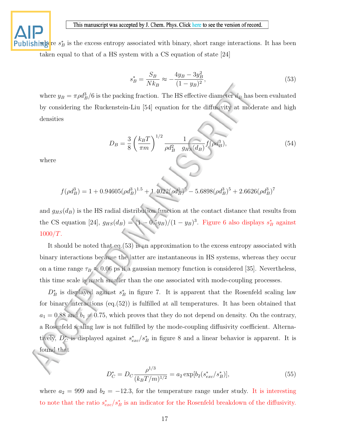$\mathbf{w}$ g is the excess entropy associated with binary, short range interactions. It has been taken equal to that of a HS system with a CS equation of state [24]

$$
s_B^* = \frac{S_B}{Nk_B} \approx -\frac{4y_B - 3y_B^2}{(1 - y_B)^2},\tag{53}
$$

where  $y_B = \pi \rho d_B^3/6$  is the packing fraction. The HS effective diameter  $d_B$  has been evaluated by considering the Ruckenstein-Liu [54] equation for the diffusivity at moderate and high densities

$$
D_B = \frac{3}{8} \left(\frac{k_B T}{\pi m}\right)^{1/2} \frac{1}{\rho d_B^2 \ g_{HS}(d_B)} f(\rho d_B^3),\tag{54}
$$

where

$$
f(\rho d_B^3) = 1 + 0.94605(\rho d_B^3)^{1.5} + 1.4022(\rho d_B^3)^3 - 5.6898(\rho d_B^3)^5 + 2.6626(\rho d_B^3)^7
$$

and  $g_{HS}(d_B)$  is the HS radial distribution function at the contact distance that results from the CS equation [24],  $g_{HS}(d_B) = (1 - 0.5y_B)/(1 - y_B)^3$ . Figure 6 also displays  $s_B^*$  against  $1000/T$ .

It should be noted that eq.(53) is an approximation to the excess entropy associated with binary interactions because the latter are instantaneous in HS systems, whereas they occur on a time range  $\tau_B \approx 0.06$  ps if a gaussian memory function is considered [35]. Nevertheless, this time scale is much smaller than the one associated with mode-coupling processes.

 $D_B^*$  is displayed against  $s_B^*$  in figure 7. It is apparent that the Rosenfeld scaling law for binary interactions (eq.(52)) is fulfilled at all temperatures. It has been obtained that  $a_1 = 0.88$  and  $b_1 = 0.75$ , which proves that they do not depend on density. On the contrary, a Rosenfeld scaling law is not fulfilled by the mode-coupling diffusivity coefficient. Alternatively,  $D_C^*$  is displayed against  $s_{exc}^*/s_B^*$  in figure 8 and a linear behavior is apparent. It is found that

$$
D_C^* = D_C \frac{\rho^{1/3}}{(k_B T/m)^{1/2}} = a_2 \exp[b_2(s_{exc}^*/s_B^*)],\tag{55}
$$

where  $a_2 = 999$  and  $b_2 = -12.3$ , for the temperature range under study. It is interesting to note that the ratio  $s_{exc}^*/s_B^*$  is an indicator for the Rosenfeld breakdown of the diffusivity.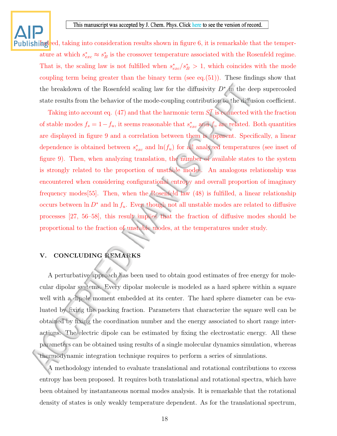**Publishingeed**, taking into consideration results shown in figure 6, it is remarkable that the temperature at which  $s_{exc}^* \approx s_B^*$  is the crossover temperature associated with the Rosenfeld regime. That is, the scaling law is not fulfilled when  $s_{exc}^*/s_B^* > 1$ , which coincides with the mode coupling term being greater than the binary term (see eq.(51)). These findings show that the breakdown of the Rosenfeld scaling law for the diffusivity  $D^*$  in the deep supercooled state results from the behavior of the mode-coupling contribution to the diffusion coefficient.

Taking into account eq. (47) and that the harmonic term  $S_s^T$  is connected with the fraction of stable modes  $f_s = 1 - f_u$ , it seems reasonable that  $s_{exc}^*$  and  $f_u$  are related. Both quantities are displayed in figure 9 and a correlation between them is apparent. Specifically, a linear dependence is obtained between  $s_{exc}^*$  and  $\ln(f_u)$  for all analyzed temperatures (see inset of figure 9). Then, when analyzing translation, the number of available states to the system is strongly related to the proportion of unstable modes. An analogous relationship was encountered when considering configurational entropy and overall proportion of imaginary frequency modes[55]. Then, when the Rosenfeld law (48) is fulfilled, a linear relationship occurs between  $\ln D^*$  and  $\ln f_u$ . Even though not all unstable modes are related to diffusive processes [27, 56–58], this result implies that the fraction of diffusive modes should be proportional to the fraction of unstable modes, at the temperatures under study.

## V. CONCLUDING REMARKS

A perturbative approach has been used to obtain good estimates of free energy for molecular dipolar systems. Every dipolar molecule is modeled as a hard sphere within a square well with a dipole moment embedded at its center. The hard sphere diameter can be evaluated by fixing the packing fraction. Parameters that characterize the square well can be obtained by fixing the coordination number and the energy associated to short range interactions. The electric dipole can be estimated by fixing the electrostatic energy. All these parameters can be obtained using results of a single molecular dynamics simulation, whereas thermodynamic integration technique requires to perform a series of simulations.

A methodology intended to evaluate translational and rotational contributions to excess entropy has been proposed. It requires both translational and rotational spectra, which have been obtained by instantaneous normal modes analysis. It is remarkable that the rotational density of states is only weakly temperature dependent. As for the translational spectrum,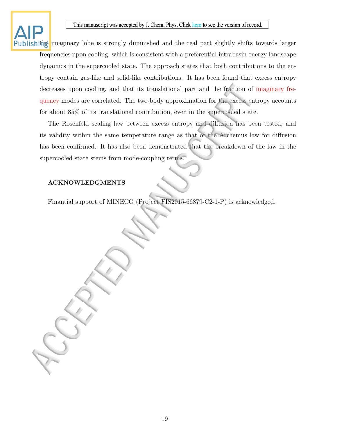

**Publishitte** imaginary lobe is strongly diminished and the real part slightly shifts towards larger frequencies upon cooling, which is consistent with a preferential intrabasin energy landscape dynamics in the supercooled state. The approach states that both contributions to the entropy contain gas-like and solid-like contributions. It has been found that excess entropy decreases upon cooling, and that its translational part and the fraction of imaginary frequency modes are correlated. The two-body approximation for the excess entropy accounts for about 85% of its translational contribution, even in the supercooled state.

The Rosenfeld scaling law between excess entropy and diffusion has been tested, and its validity within the same temperature range as that of the Arrhenius law for diffusion has been confirmed. It has also been demonstrated that the breakdown of the law in the supercooled state stems from mode-coupling terms.

## ACKNOWLEDGMENTS

Finantial support of MINECO (Project FIS2015-66879-C2-1-P) is acknowledged.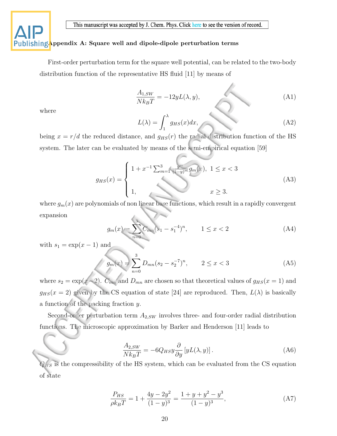## blishingAppendix A: Square well and dipole-dipole perturbation terms

First-order perturbation term for the square well potential, can be related to the two-body distribution function of the representative HS fluid [11] by means of

$$
\frac{A_{1,SW}}{Nk_BT} = -12yL(\lambda, y),\tag{A1}
$$

⊿

where

$$
L(\lambda) = \int_1^{\lambda} g_{HS}(x) dx, \tag{A2}
$$

being  $x = r/d$  the reduced distance, and  $g_{HS}(r)$  the radial distribution function of the HS system. The later can be evaluated by means of the semi-empirical equation [59]

$$
g_{HS}(x) = \begin{cases} 1 + x^{-1} \sum_{m=1}^{3} \frac{y^m}{(1-y)^m} g_m(x), & 1 \le x < 3 \\ 1, & x \ge 3. \end{cases}
$$
 (A3)

where  $g_m(x)$  are polynomials of non linear base functions, which result in a rapidly convergent expansion

$$
g_m(x) = \sum_{n=0}^{3} C_{mn}(s_1 - s_1^{-4})^n, \qquad 1 \le x < 2
$$
 (A4)

with  $s_1 = \exp(x - 1)$  and

$$
g_m(x) = \sum_{n=0}^{3} D_{mn}(s_2 - s_2^{-7})^n, \qquad 2 \le x < 3
$$
 (A5)

where  $s_2 = \exp(x-2)$ .  $C_{mn}$  and  $D_{mn}$  are chosen so that theoretical values of  $g_{HS}(x=1)$  and  $g_{HS}(x = 2)$  given by the CS equation of state [24] are reproduced. Then,  $L(\lambda)$  is basically a function of the packing fraction  $y$ .

Second-order perturbation term  $A_{2,SW}$  involves three- and four-order radial distribution functions. The microscopic approximation by Barker and Henderson [11] leads to

$$
\frac{A_{2,SW}}{Nk_BT} = -6Q_{HS}y\frac{\partial}{\partial y}\left[yL(\lambda, y)\right].\tag{A6}
$$

 $Q_{HS}$  is the compressibility of the HS system, which can be evaluated from the CS equation of state

$$
\frac{P_{HS}}{\rho k_B T} = 1 + \frac{4y - 2y^2}{(1 - y)^3} = \frac{1 + y + y^2 - y^3}{(1 - y)^3},
$$
\n(A7)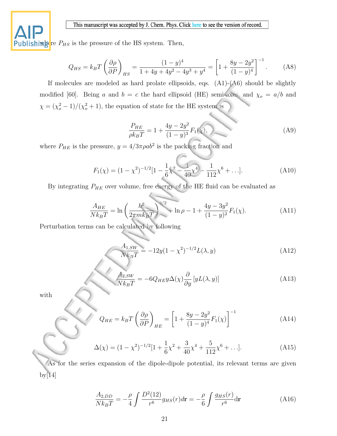This manuscript was accepted by J. Chem. Phys. Click here to see the version of record.

**blishing**  $P_{HS}$  is the pressure of the HS system. Then,

$$
Q_{HS} = k_B T \left(\frac{\partial \rho}{\partial P}\right)_{HS} = \frac{(1-y)^4}{1+4y+4y^2-4y^3+y^4} = \left[1 + \frac{8y-2y^2}{(1-y)^4}\right]^{-1}.
$$
 (A8)

If molecules are modeled as hard prolate ellipsoids, eqs. (A1)-(A6) should be slightly modified [60]. Being a and  $b = c$  the hard ellipsoid (HE) semi-axes, and  $\chi_o = a/b$  and  $\chi = (\chi_o^2 - 1)/(\chi_o^2 + 1)$ , the equation of state for the HE system is

$$
\frac{P_{HE}}{\rho k_B T} = 1 + \frac{4y - 2y^2}{(1 - y)^3} F_1(\chi),\tag{A9}
$$

where  $P_{HE}$  is the pressure,  $y = 4/3\pi \rho ab^2$  is the packing fraction and

$$
F_1(\chi) = (1 - \chi^2)^{-1/2} [1 - \frac{1}{6} \chi^2 - \frac{1}{40} \chi^4 - \frac{1}{112} \chi^6 + \ldots].
$$
 (A10)

By integrating  $\mathcal{P}_{HE}$  over volume, free energy of the HE fluid can be evaluated as

$$
\frac{A_{HE}}{Nk_BT} = \ln\left(\frac{h^2}{2\pi mk_BT}\right)^{3/2} + \ln\rho - 1 + \frac{4y - 3y^2}{(1 - y)^2}F_1(\chi). \tag{A11}
$$

Perturbation terms can be calculated by following

$$
\frac{A_{1,SW}}{Nk_BT} = -12y(1 - \chi^2)^{-1/2}L(\lambda, y)
$$
\n(A12)

$$
\frac{A_{2,SW}}{Nk_BT} = -6Q_{HE}y\Delta(\chi)\frac{\partial}{\partial y}\left[yL(\lambda, y)\right]
$$
\n(A13)

with

$$
Q_{HE} = k_B T \left(\frac{\partial \rho}{\partial P}\right)_{HE} = \left[1 + \frac{8y - 2y^2}{(1 - y)^4} F_1(\chi)\right]^{-1}
$$
(A14)

$$
\Delta(\chi) = (1 - \chi^2)^{-1/2} [1 + \frac{1}{6} \chi^2 + \frac{3}{40} \chi^4 + \frac{5}{112} \chi^6 + \ldots].
$$
 (A15)

As for the series expansion of the dipole-dipole potential, its relevant terms are given by[14]

$$
\frac{A_{2,DD}}{Nk_BT} = -\frac{\rho}{4} \int \frac{D^2(12)}{r^6} g_{HS}(r) d\mathbf{r} = -\frac{\rho}{6} \int \frac{g_{HS}(r)}{r^6} d\mathbf{r}
$$
 (A16)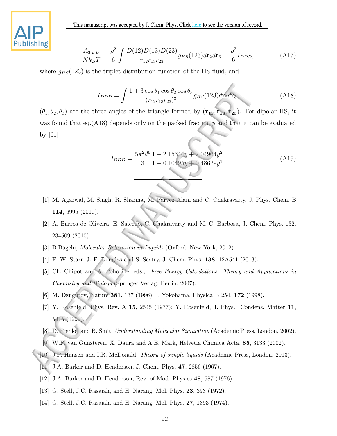

$$
\frac{A_{3,DD}}{Nk_BT} = \frac{\rho^2}{6} \int \frac{D(12)D(13)D(23)}{r_{12}r_{13}r_{23}} g_{HS}(123) d\mathbf{r}_2 d\mathbf{r}_3 = \frac{\rho^2}{6} I_{DDD},
$$
(A17)

where  $g_{HS}(123)$  is the triplet distribution function of the HS fluid, and

$$
I_{DDD} = \int \frac{1 + 3\cos\theta_1\cos\theta_2\cos\theta_3}{(r_{12}r_{13}r_{23})^3} g_{HS}(123)d\mathbf{r}_2d\mathbf{r}_3
$$
\n(A18)

 $(\theta_1, \theta_2, \theta_3)$  are the three angles of the triangle formed by  $(\mathbf{r}_{12}, \mathbf{r}_{13}, \mathbf{r}_{23})$ . For dipolar HS, it was found that eq.  $(A18)$  depends only on the packed fraction y and that it can be evaluated by  $|61|$ 

$$
I_{DDD} = \frac{5\pi^2 d^6}{3} \frac{1 + 2.15344y + 2.04964y^2}{1 - 0.10495y + 0.48629y^2}.
$$
 (A19)

- [1] M. Agarwal, M. Singh, R. Sharma, M. Parvez Alam and C. Chakravarty, J. Phys. Chem. B 114, 6995 (2010).
- [2] A. Barros de Oliveira, E. Salcedo, C. Chakravarty and M. C. Barbosa, J. Chem. Phys. 132, 234509 (2010).
- [3] B.Bagchi, Molecular Relaxation in Liquids (Oxford, New York, 2012).
- [4] F. W. Starr, J. F. Douglas and S. Sastry, J. Chem. Phys. 138, 12A541 (2013).
- [5] Ch. Chipot and A. Pohorille, eds., Free Energy Calculations: Theory and Applications in Chemistry and Biology (Springer Verlag, Berlin, 2007).
- [6] M. Dzugutov, Nature 381, 137 (1996); I. Yokohama, Physica B 254, 172 (1998).
- [7] Y. Rosenfeld, Phys. Rev. A 15, 2545 (1977); Y. Rosenfeld, J. Phys.: Condens. Matter 11, 5415 (1999).
- D. Frenkel and B. Smit, Understanding Molecular Simulation (Academic Press, London, 2002).
- W.F. van Gunsteren, X. Daura and A.E. Mark, Helvetia Chimica Acta, 85, 3133 (2002).
- [10] J.P. Hansen and I.R. McDonald, *Theory of simple liquids* (Academic Press, London, 2013).
- [11] J.A. Barker and D. Henderson, J. Chem. Phys. 47, 2856 (1967).
- [12] J.A. Barker and D. Henderson, Rev. of Mod. Physics 48, 587 (1976).
- [13] G. Stell, J.C. Rasaiah, and H. Narang, Mol. Phys. 23, 393 (1972).
- [14] G. Stell, J.C. Rasaiah, and H. Narang, Mol. Phys. 27, 1393 (1974).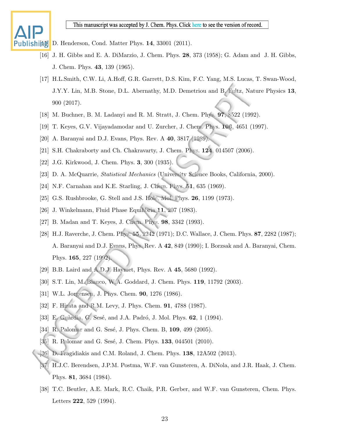

- **Publishing** D. Henderson, Cond. Matter Phys.  $14$ ,  $33001$  (2011).
	- [16] J. H. Gibbs and E. A. DiMarzio, J. Chem. Phys. 28, 373 (1958); G. Adam and J. H. Gibbs, J. Chem. Phys. 43, 139 (1965).
	- [17] H.L.Smith, C.W. Li, A.Hoff, G.R. Garrett, D.S. Kim, F.C. Yang, M.S. Lucas, T. Swan-Wood, J.Y.Y. Lin, M.B. Stone, D.L. Abernathy, M.D. Demetriou and B. Fultz, Nature Physics 13, 900 (2017).
	- [18] M. Buchner, B. M. Ladanyi and R. M. Stratt, J. Chem. Phys. 97, 8522 (1992).
	- [19] T. Keyes, G.V. Vijayadamodar and U. Zurcher, J. Chem. Phys. 106, 4651 (1997).
	- [20] A. Baranyai and D.J. Evans, Phys. Rev. A 40, 3817 (1989).
	- [21] S.H. Chakraborty and Ch. Chakravarty, J. Chem. Phys. 124, 014507 (2006).
	- [22] J.G. Kirkwood, J. Chem. Phys. **3**, 300 (1935).
	- [23] D. A. McQuarrie, Statistical Mechanics (University Science Books, California, 2000).
	- [24] N.F. Carnahan and K.E. Starling, J. Chem. Phys. 51, 635 (1969).
	- [25] G.S. Rushbrooke, G. Stell and J.S. Hole, Mol. Phys. **26**, 1199 (1973).
	- [26] J. Winkelmann, Fluid Phase Equilibria 11, 207 (1983).
	- [27] B. Madan and T. Keyes, J. Chem. Phys. 98, 3342 (1993).
	- [28] H.J. Raverche, J. Chem. Phys. 55, 2242 (1971); D.C. Wallace, J. Chem. Phys. 87, 2282 (1987); A. Baranyai and D.J. Evans, Phys. Rev. A 42, 849 (1990); I. Borzsak and A. Baranyai, Chem. Phys. 165, 227 (1992).
	- [29] B.B. Laird and A.D.J. Haymet, Phys. Rev. A 45, 5680 (1992).
	- [30] S.T. Lin, M. Blanco, W.A. Goddard, J. Chem. Phys. 119, 11792 (2003).
	- [31] W.L. Jorgensen, J. Phys. Chem. **90**, 1276 (1986).
	- [32] F. Hirata and R.M. Levy, J. Phys. Chem. 91, 4788 (1987).
	- [33] E. Guàrdia, G. Sesé, and J.A. Padró, J. Mol. Phys. 62, 1 (1994).
	- [34] R. Palomar and G. Sesé, J. Phys. Chem. B, 109, 499 (2005).
	- [35] R. Palomar and G. Sesé, J. Chem. Phys. **133**, 044501 (2010).
	- [36] D. Fragidiakis and C.M. Roland, J. Chem. Phys. 138, 12A502 (2013).
	- [37] H.J.C. Berendsen, J.P.M. Postma, W.F. van Gunsteren, A. DiNola, and J.R. Haak, J. Chem. Phys. 81, 3684 (1984).
	- [38] T.C. Beutler, A.E. Mark, R.C. Chaik, P.R. Gerber, and W.F. van Gunsteren, Chem. Phys. Letters 222, 529 (1994).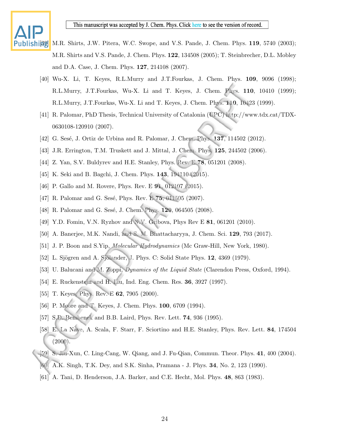

- [39] M.R. Shirts, J.W. Pitera, W.C. Swope, and V.S. Pande, J. Chem. Phys. 119, 5740 (2003); M.R. Shirts and V.S. Pande, J. Chem. Phys. 122, 134508 (2005); T. Steinbrecher, D.L. Mobley and D.A. Case, J. Chem. Phys. 127, 214108 (2007).
	- [40] Wu-X. Li, T. Keyes, R.L.Murry and J.T.Fourkas, J. Chem. Phys. 109, 9096 (1998); R.L.Murry, J.T.Fourkas, Wu-X. Li and T. Keyes, J. Chem. Phys. 110, 10410 (1999); R.L.Murry, J.T.Fourkas, Wu-X. Li and T. Keyes, J. Chem. Phys. 110, 10423 (1999).
	- [41] R. Palomar, PhD Thesis, Technical University of Catalonia (UPC) http://www.tdx.cat/TDX-0630108-120910 (2007).
	- [42] G. Sesé, J. Ortiz de Urbina and R. Palomar, J. Chem. Phys. **137**, 114502 (2012).
	- [43] J.R. Errington, T.M. Truskett and J. Mittal, J. Chem. Phys. **125**, 244502 (2006).
	- [44] Z. Yan, S.V. Buldyrev and H.E. Stanley, Phys. Rev. E 78, 051201 (2008).
	- [45] K. Seki and B. Bagchi, J. Chem. Phys. **143**, 194110 (2015).
	- [46] P. Gallo and M. Rovere, Phys. Rev. E **91**, 012107 (2015).
	- [47] R. Palomar and G. Sesé, Phys. Rev. E 75, 011505 (2007).
	- [48] R. Palomar and G. Sesé, J. Chem. Phys. 129, 064505 (2008).
	- [49] Y.D. Fomin, V.N. Ryzhov and N.V. Gribova, Phys Rev E **81**, 061201 (2010).
	- [50] A. Banerjee, M.K. Nandi, and S. M. Bhattacharyya, J. Chem. Sci. 129, 793 (2017).
	- [51] J. P. Boon and S.Yip, *Molecular Hydrodynamics* (Mc Graw-Hill, New York, 1980).
	- [52] L. Sjögren and A. Sjölander, J. Phys. C: Solid State Phys.  $12, 4369$  (1979).
	- [53] U. Balucani and M. Zoppi, *Dynamics of the Liquid State* (Clarendon Press, Oxford, 1994).
	- [54] E. Ruckenstein and H. Liu, Ind. Eng. Chem. Res. 36, 3927 (1997).
	- [55] T. Keyes, Phys. Rev. E **62**, 7905 (2000).
	- [56] P. Moore and T. Keyes, J. Chem. Phys. 100, 6709 (1994).
	- [57] S.D. Bembenek and B.B. Laird, Phys. Rev. Lett. 74, 936 (1995).
	- [58] E. La Nave, A. Scala, F. Starr, F. Sciortino and H.E. Stanley, Phys. Rev. Lett. 84, 174504 (2000).
	- [59] S. Jiu-Xun, C. Ling-Cang, W. Qiang, and J. Fu-Qian, Commun. Theor. Phys. 41, 400 (2004). [60] A.K. Singh, T.K. Dey, and S.K. Sinha, Pramana - J. Phys. 34, No. 2, 123 (1990).
		- [61] A. Tani, D. Henderson, J.A. Barker, and C.E. Hecht, Mol. Phys. 48, 863 (1983).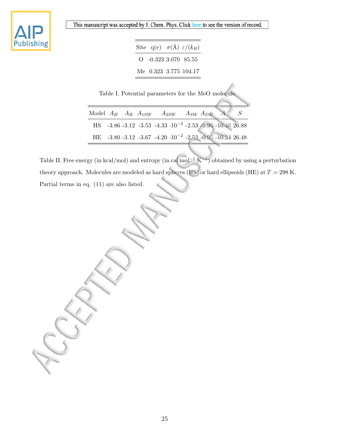

|                        | Site q(e) $\sigma(\AA) \varepsilon/(k_B)$ |
|------------------------|-------------------------------------------|
| $O$ -0.323 3.070 85.55 |                                           |
|                        | Me 0.323 3.775 104.17                     |

D

|  |  | Table I. Potential parameters for the MeO molecule.                 |  |              |   |
|--|--|---------------------------------------------------------------------|--|--------------|---|
|  |  | Model $A_H$ $A_R$ $A_{1SW}$ $A_{2SW}$ $A_{SW}$ $A_{DD}$             |  | $\mathbf{A}$ | S |
|  |  | HS $-3.86 -3.12 -3.53 -4.33 \cdot 10^{-2} -2.53 -0.95 -10.46$ 26.88 |  |              |   |
|  |  | HE $-3.80 -3.12 -3.67 -4.20 \cdot 10^{-2} -2.53 -0.95 -10.34 26.48$ |  |              |   |
|  |  |                                                                     |  |              |   |

Table II. Free energy (in kcal/mol) and entropy (in cal mol<sup>-1</sup> K<sup>-1</sup>) obtained by using a perturbation theory approach. Molecules are modeled as hard spheres (HS) or hard ellipsoids (HE) at  $T = 298$  K. Partial terms in eq. (11) are also listed.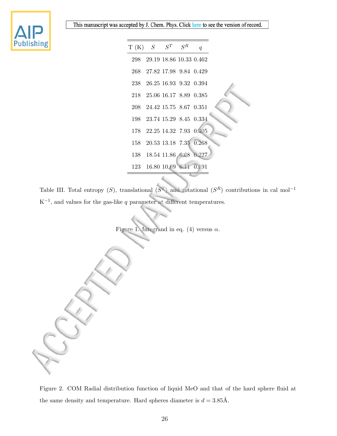This manuscript was accepted by J. Chem. Phys. Click here to see the version of record.

 $\equiv$ 



| $T(K)$ S $S^T$ $S^R$ |                             |  | $\boldsymbol{q}$ |
|----------------------|-----------------------------|--|------------------|
|                      | 298 29.19 18.86 10.33 0.462 |  |                  |
|                      | 268 27.82 17.98 9.84 0.429  |  |                  |
|                      | 238 26.25 16.93 9.32 0.394  |  |                  |
|                      | 218 25.06 16.17 8.89 0.385  |  |                  |
|                      | 208 24.42 15.75 8.67 0.351  |  |                  |
|                      | 198 23.74 15.29 8.45 0.334  |  |                  |
|                      | 178 22.25 14.32 7.93 0.305  |  |                  |
|                      | 158 20.53 13.18 7.35 0.268  |  |                  |
|                      | 138 18.54 11.86 6.68 0.227  |  |                  |
|                      | 123 16.80 10.69 6.11 0.191  |  |                  |

Table III. Total entropy  $(S)$ , translational  $(S<sup>T</sup>)$  and rotational  $(S<sup>R</sup>)$  contributions in cal mol<sup>-1</sup>  $K^{-1}$ , and values for the gas-like q parameter at different temperatures.

Figure 1. Integrand in eq. (4) versus  $\alpha$ .

Figure 2. COM Radial distribution function of liquid MeO and that of the hard sphere fluid at the same density and temperature. Hard spheres diameter is  $d = 3.85 \text{\AA}$ .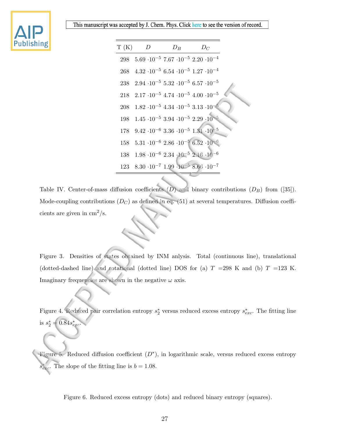

| $T(K)$ D | $D_B$                                                                | $D_C$                                                                |
|----------|----------------------------------------------------------------------|----------------------------------------------------------------------|
|          | $298$ $5.69 \cdot 10^{-5}$ $7.67 \cdot 10^{-5}$ $2.20 \cdot 10^{-4}$ |                                                                      |
|          | $268$ 4.32 $\cdot 10^{-5}$ 6.54 $\cdot 10^{-5}$ 1.27 $\cdot 10^{-4}$ |                                                                      |
|          | 238 2.94 $\cdot 10^{-5}$ 5.32 $\cdot 10^{-5}$ 6.57 $\cdot 10^{-5}$   |                                                                      |
|          | $218$ $2.17 \cdot 10^{-5}$ $4.74 \cdot 10^{-5}$ $4.00 \cdot 10^{-5}$ |                                                                      |
|          | $208$ $1.82 \cdot 10^{-5}$ $4.34 \cdot 10^{-5}$ $3.13 \cdot 10^{-5}$ |                                                                      |
|          | 198 $1.45 \cdot 10^{-5}$ 3.94 $\cdot 10^{-5}$ 2.29 $\cdot 10^{-5}$   |                                                                      |
|          | $178$ $9.42 \cdot 10^{-6}$ $3.36 \cdot 10^{-5}$ $1.31 \cdot 10^{-5}$ |                                                                      |
|          |                                                                      | $158$ $5.31 \cdot 10^{-6}$ $2.86 \cdot 10^{-5}$ $6.52 \cdot 10^{-6}$ |
|          | 138 $1.98 \cdot 10^{-6}$ 2.34 $\cdot 10^{-5}$ 2.16 $\cdot 10^{-6}$   |                                                                      |
|          | 123 8.30 $\cdot 10^{-7}$ 1.99 $\cdot 10^{-5}$ 8.66 $\cdot 10^{-7}$   |                                                                      |

Table IV. Center-of-mass diffusion coefficients  $(D)$  and binary contributions  $(D_B)$  from ([35]). Mode-coupling contributions  $(D<sub>C</sub>)$  as defined in eq. (51) at several temperatures. Diffusion coefficients are given in  $\text{cm}^2/\text{s}$ .

Figure 3. Densities of states obtained by INM anlysis. Total (continuous line), translational (dotted-dashed line) and rotational (dotted line) DOS for (a)  $T = 298$  K and (b)  $T = 123$  K. Imaginary frequencies are shown in the negative  $\omega$  axis.

Figure 4. Reduced pair correlation entropy  $s_2^*$  versus reduced excess entropy  $s_{exc}^*$ . The fitting line is  $s_2^*$  $_{2}^{*} = 0.84s_{exc}^{*}.$ 

Figure 5. Reduced diffusion coefficient  $(D^*)$ , in logarithmic scale, versus reduced excess entropy s ∗ The slope of the fitting line is  $b = 1.08$ .

Figure 6. Reduced excess entropy (dots) and reduced binary entropy (squares).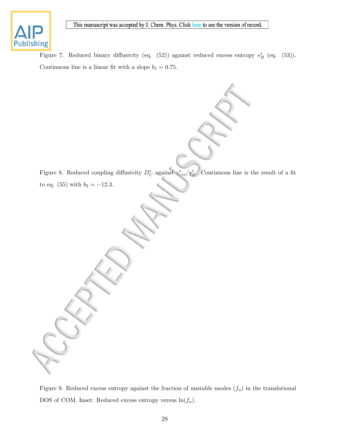

Figure 7. Reduced binary diffusivity (eq.  $(52)$ ) against reduced excess entropy  $s_B^*$  (eq.  $(53)$ ). Continuous line is a linear fit with a slope  $b_1 = 0.75$ .

Figure 8. Reduced coupling diffusivity  $D_C^*$  against  $s_{exc}^*/s_B^*$ . Continuous line is the result of a fit

to eq. (55) with  $b_2 = -12.3$ .

Figure 9. Reduced excess entropy against the fraction of unstable modes  $(f_u)$  in the translational DOS of COM. Inset: Reduced excess entropy versus  $ln(f_u)$ .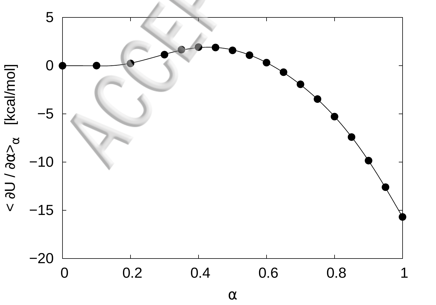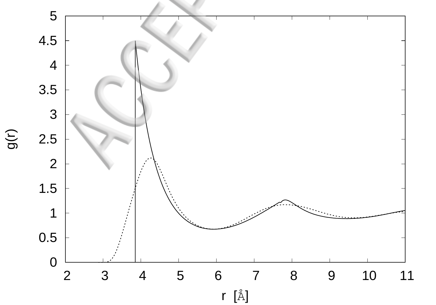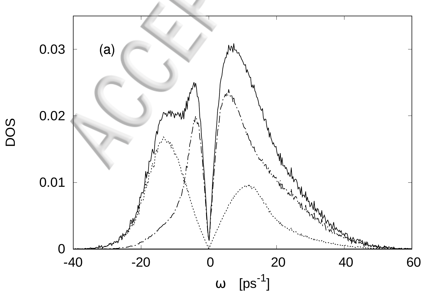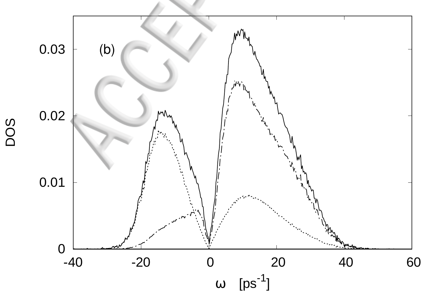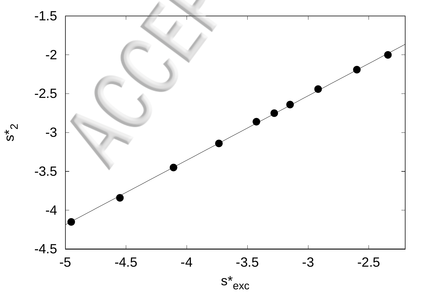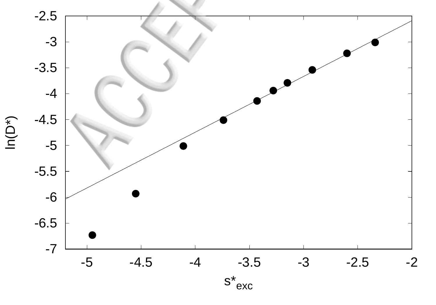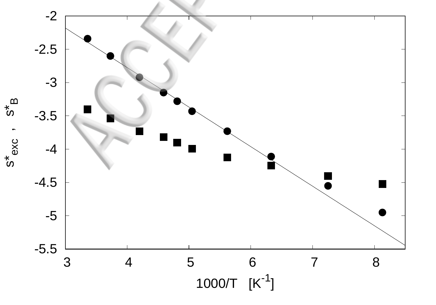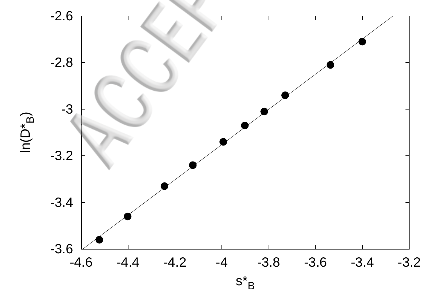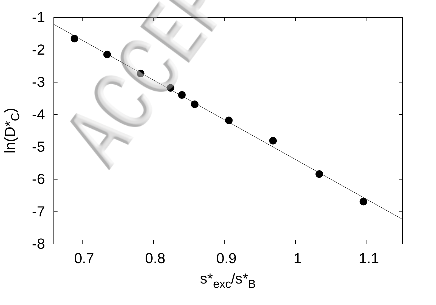